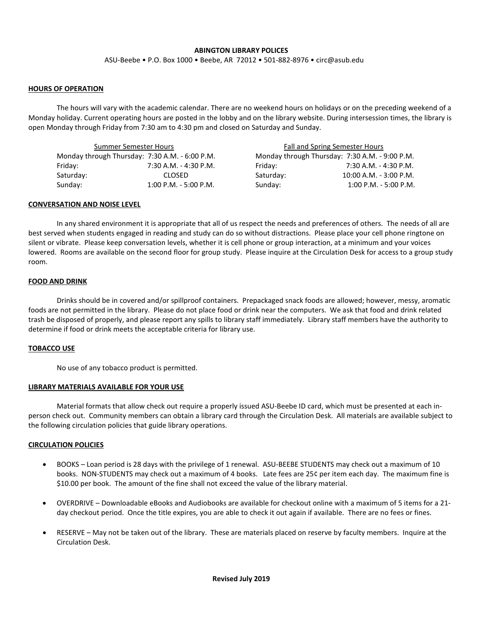## **ABINGTON LIBRARY POLICES**

ASU-Beebe • P.O. Box 1000 • Beebe, AR 72012 • 501-882-8976 • circ@asub.edu

### **HOURS OF OPERATION**

The hours will vary with the academic calendar. There are no weekend hours on holidays or on the preceding weekend of a Monday holiday. Current operating hours are posted in the lobby and on the library website. During intersession times, the library is open Monday through Friday from 7:30 am to 4:30 pm and closed on Saturday and Sunday.

| Summer Semester Hours                          |                         |           | Fall and Spring Semester Hours                 |  |
|------------------------------------------------|-------------------------|-----------|------------------------------------------------|--|
| Monday through Thursday: 7:30 A.M. - 6:00 P.M. |                         |           | Monday through Thursday: 7:30 A.M. - 9:00 P.M. |  |
| Friday:                                        | 7:30 A.M. - 4:30 P.M.   | Fridav:   | 7:30 A.M. - 4:30 P.M.                          |  |
| Saturday:                                      | <b>CLOSED</b>           | Saturday: | 10:00 A.M. - 3:00 P.M.                         |  |
| Sundav:                                        | $1:00$ P.M. - 5:00 P.M. | Sunday:   | $1:00$ P.M. - 5:00 P.M.                        |  |

### **CONVERSATION AND NOISE LEVEL**

In any shared environment it is appropriate that all of us respect the needs and preferences of others. The needs of all are best served when students engaged in reading and study can do so without distractions. Please place your cell phone ringtone on silent or vibrate. Please keep conversation levels, whether it is cell phone or group interaction, at a minimum and your voices lowered. Rooms are available on the second floor for group study. Please inquire at the Circulation Desk for access to a group study room.

### **FOOD AND DRINK**

Drinks should be in covered and/or spillproof containers. Prepackaged snack foods are allowed; however, messy, aromatic foods are not permitted in the library. Please do not place food or drink near the computers. We ask that food and drink related trash be disposed of properly, and please report any spills to library staff immediately. Library staff members have the authority to determine if food or drink meets the acceptable criteria for library use.

## **TOBACCO USE**

No use of any tobacco product is permitted.

#### **LIBRARY MATERIALS AVAILABLE FOR YOUR USE**

Material formats that allow check out require a properly issued ASU-Beebe ID card, which must be presented at each inperson check out. Community members can obtain a library card through the Circulation Desk. All materials are available subject to the following circulation policies that guide library operations.

#### **CIRCULATION POLICIES**

- BOOKS Loan period is 28 days with the privilege of 1 renewal. ASU-BEEBE STUDENTS may check out a maximum of 10 books. NON-STUDENTS may check out a maximum of 4 books. Late fees are 25¢ per item each day. The maximum fine is \$10.00 per book. The amount of the fine shall not exceed the value of the library material.
- OVERDRIVE Downloadable eBooks and Audiobooks are available for checkout online with a maximum of 5 items for a 21 day checkout period. Once the title expires, you are able to check it out again if available. There are no fees or fines.
- RESERVE May not be taken out of the library. These are materials placed on reserve by faculty members. Inquire at the Circulation Desk.